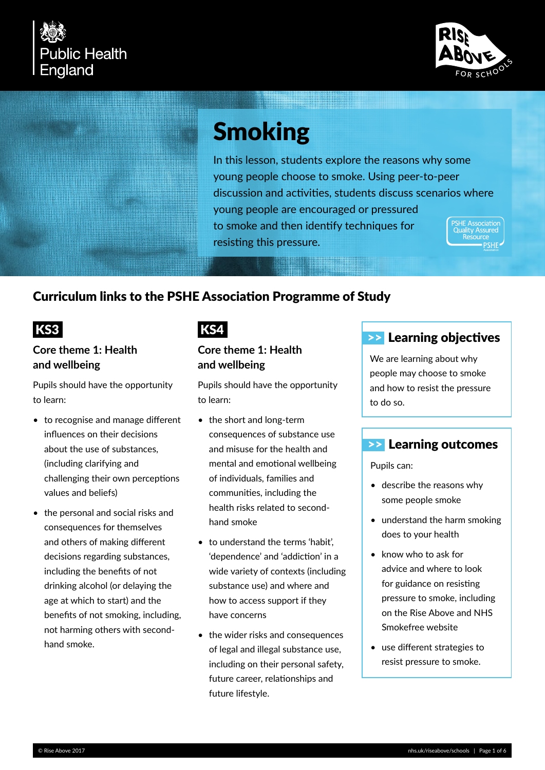



# Smoking

In this lesson, students explore the reasons why some young people choose to smoke. Using peer-to-peer discussion and activities, students discuss scenarios where young people are encouraged or pressured to smoke and then identify techniques for resisting this pressure.

Curriculum links to the PSHE Association Programme of Study

# KS3

## **Core theme 1: Health and wellbeing**

Pupils should have the opportunity to learn:

- to recognise and manage different influences on their decisions about the use of substances, (including clarifying and challenging their own perceptions values and beliefs)
- the personal and social risks and consequences for themselves and others of making different decisions regarding substances, including the benefits of not drinking alcohol (or delaying the age at which to start) and the benefits of not smoking, including, not harming others with secondhand smoke.

# KS4

## **Core theme 1: Health and wellbeing**

Pupils should have the opportunity to learn:

- the short and long-term consequences of substance use and misuse for the health and mental and emotional wellbeing of individuals, families and communities, including the health risks related to secondhand smoke
- to understand the terms 'habit', 'dependence' and 'addiction' in a wide variety of contexts (including substance use) and where and how to access support if they have concerns
- the wider risks and consequences of legal and illegal substance use, including on their personal safety, future career, relationships and future lifestyle.

# >> Learning objectives

We are learning about why people may choose to smoke and how to resist the pressure to do so.

# >> Learning outcomes

Pupils can:

- describe the reasons why some people smoke
- understand the harm smoking does to your health
- know who to ask for advice and where to look for guidance on resisting pressure to smoke, including on the Rise Above and NHS Smokefree website
- use different strategies to resist pressure to smoke.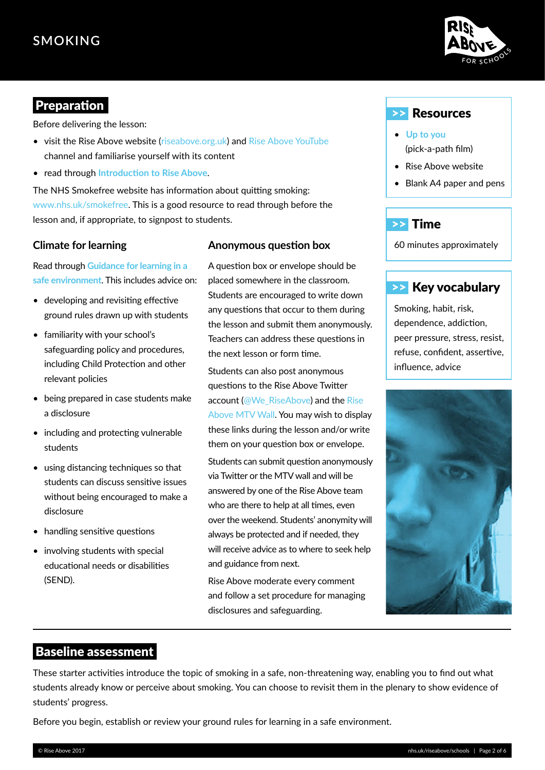

# **Preparation**

Before delivering the lesson:

- visit the Rise Above website [\(riseabove.org.uk\)](http://riseabove.org.uk) and [Rise Above YouTube](https://www.youtube.com/user/riseabovechannel) channel and familiarise yourself with its content
- read through **[Introduction to Rise Above](http://nhs.uk/riseabove/schools)**.

The NHS Smokefree website has information about quitting smoking: [www.nhs.uk/smokefree](http://www.nhs.uk/smokefree). This is a good resource to read through before the lesson and, if appropriate, to signpost to students.

#### **Climate for learning**

#### **Anonymous question box**

Read through **[Guidance for learning in a](https://www.pshe-association.org.uk/riseabove)  [safe environment](https://www.pshe-association.org.uk/riseabove)**. This includes advice on:

- developing and revisiting effective ground rules drawn up with students
- familiarity with your school's safeguarding policy and procedures, including Child Protection and other relevant policies
- being prepared in case students make a disclosure
- including and protecting vulnerable students
- using distancing techniques so that students can discuss sensitive issues without being encouraged to make a disclosure
- handling sensitive questions
- involving students with special educational needs or disabilities (SEND).

A question box or envelope should be placed somewhere in the classroom. Students are encouraged to write down any questions that occur to them during the lesson and submit them anonymously. Teachers can address these questions in the next lesson or form time.

Students can also post anonymous questions to the Rise Above Twitter account [\(@We\\_RiseAbove](https://twitter.com/we_riseabove)) and the Rise [Above MTV Wall](https://riseabove.org.uk/wall). You may wish to display these links during the lesson and/or write them on your question box or envelope.

Students can submit question anonymously via Twitter or the MTV wall and will be answered by one of the Rise Above team who are there to help at all times, even over the weekend. Students' anonymity will always be protected and if needed, they will receive advice as to where to seek help and guidance from next.

Rise Above moderate every comment and follow a set procedure for managing disclosures and safeguarding.

#### >> Resources

- **[Up to you](https://riseabove.org.uk/article/play-up-to-you)** (pick-a-path film)
- Rise Above website
- Blank A4 paper and pens

# >> Time

60 minutes approximately

# >> Key vocabulary

Smoking, habit, risk, dependence, addiction, peer pressure, stress, resist, refuse, confident, assertive, influence, advice



## Baseline assessment

These starter activities introduce the topic of smoking in a safe, non-threatening way, enabling you to find out what students already know or perceive about smoking. You can choose to revisit them in the plenary to show evidence of students' progress.

Before you begin, establish or review your ground rules for learning in a safe environment.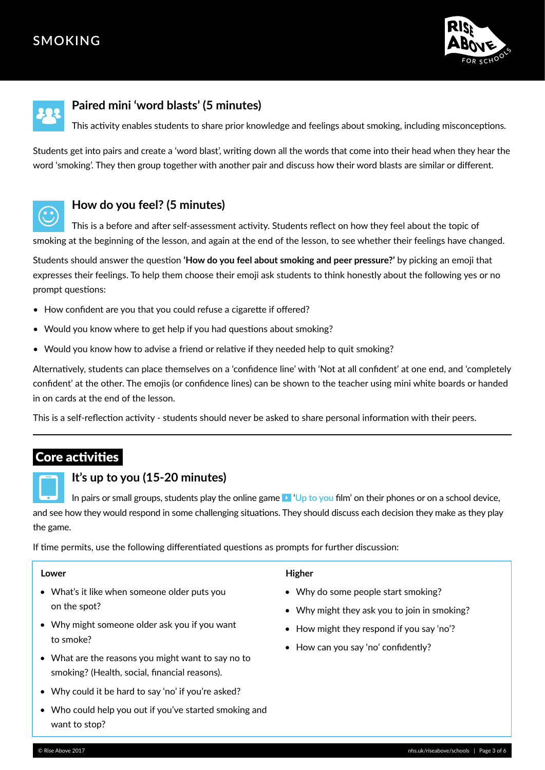



# **Paired mini 'word blasts' (5 minutes)**

This activity enables students to share prior knowledge and feelings about smoking, including misconceptions.

Students get into pairs and create a 'word blast', writing down all the words that come into their head when they hear the word 'smoking'. They then group together with another pair and discuss how their word blasts are similar or different.



### **How do you feel? (5 minutes)**

This is a before and after self-assessment activity. Students reflect on how they feel about the topic of smoking at the beginning of the lesson, and again at the end of the lesson, to see whether their feelings have changed.

Students should answer the question **'How do you feel about smoking and peer pressure?'** by picking an emoji that expresses their feelings. To help them choose their emoji ask students to think honestly about the following yes or no prompt questions:

- How confident are you that you could refuse a cigarette if offered?
- Would you know where to get help if you had questions about smoking?
- Would you know how to advise a friend or relative if they needed help to quit smoking?

Alternatively, students can place themselves on a 'confidence line' with 'Not at all confident' at one end, and 'completely confident' at the other. The emojis (or confidence lines) can be shown to the teacher using mini white boards or handed in on cards at the end of the lesson.

This is a self-reflection activity - students should never be asked to share personal information with their peers.

# Core activities

#### **It's up to you (15-20 minutes)**

In pairs or small groups, students play the online game [4](https://riseabove.org.uk/article/play-up-to-you/) '**[Up to you](https://riseabove.org.uk/article/play-up-to-you)** film' on their phones or on a school device, and see how they would respond in some challenging situations. They should discuss each decision they make as they play the game.

If time permits, use the following differentiated questions as prompts for further discussion:

#### **Lower**

- What's it like when someone older puts you on the spot?
- Why might someone older ask you if you want to smoke?
- What are the reasons you might want to say no to smoking? (Health, social, financial reasons).
- Why could it be hard to say 'no' if you're asked?
- Who could help you out if you've started smoking and want to stop?

#### **Higher**

- Why do some people start smoking?
- Why might they ask you to join in smoking?
- How might they respond if you say 'no'?
- How can you say 'no' confidently?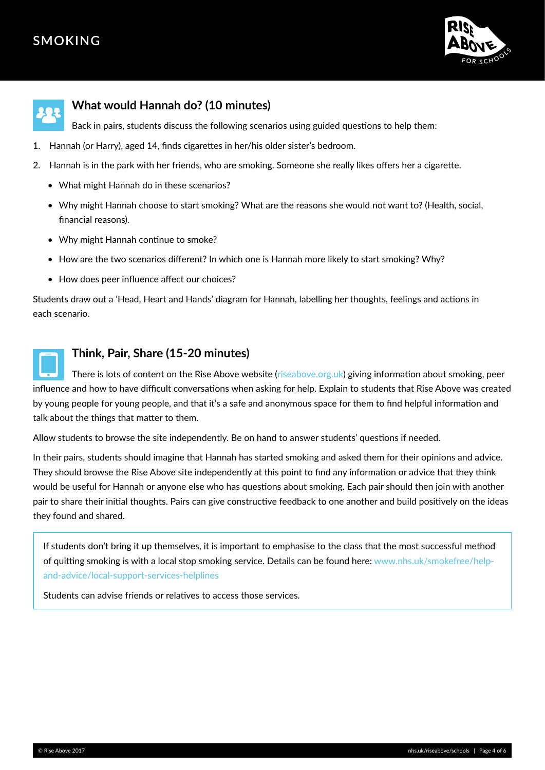



# **What would Hannah do? (10 minutes)**

Back in pairs, students discuss the following scenarios using guided questions to help them:

- 1. Hannah (or Harry), aged 14, finds cigarettes in her/his older sister's bedroom.
- 2. Hannah is in the park with her friends, who are smoking. Someone she really likes offers her a cigarette.
	- What might Hannah do in these scenarios?
	- Why might Hannah choose to start smoking? What are the reasons she would not want to? (Health, social, financial reasons).
	- Why might Hannah continue to smoke?
	- How are the two scenarios different? In which one is Hannah more likely to start smoking? Why?
	- How does peer influence affect our choices?

Students draw out a 'Head, Heart and Hands' diagram for Hannah, labelling her thoughts, feelings and actions in each scenario.



#### **Think, Pair, Share (15-20 minutes)**

There is lots of content on the Rise Above website [\(riseabove.org.uk](http://riseabove.org.uk)) giving information about smoking, peer influence and how to have difficult conversations when asking for help. Explain to students that Rise Above was created by young people for young people, and that it's a safe and anonymous space for them to find helpful information and talk about the things that matter to them.

Allow students to browse the site independently. Be on hand to answer students' questions if needed.

In their pairs, students should imagine that Hannah has started smoking and asked them for their opinions and advice. They should browse the Rise Above site independently at this point to find any information or advice that they think would be useful for Hannah or anyone else who has questions about smoking. Each pair should then join with another pair to share their initial thoughts. Pairs can give constructive feedback to one another and build positively on the ideas they found and shared.

If students don't bring it up themselves, it is important to emphasise to the class that the most successful method of quitting smoking is with a local stop smoking service. Details can be found here: [www.nhs.uk/smokefree/help](http://www.nhs.uk/smokefree/help-and-advice/local-support-services-helplines)[and-advice/local-support-services-helplines](http://www.nhs.uk/smokefree/help-and-advice/local-support-services-helplines)

Students can advise friends or relatives to access those services.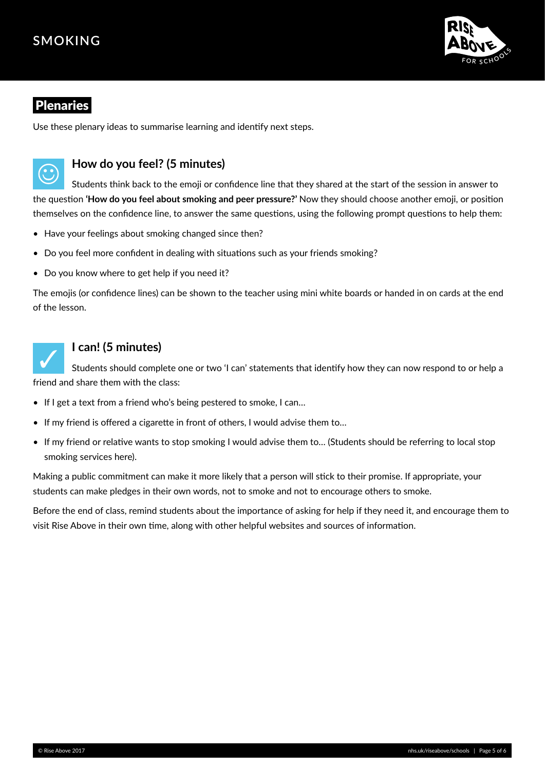

# **Plenaries**

Use these plenary ideas to summarise learning and identify next steps.



## **How do you feel? (5 minutes)**

Students think back to the emoji or confidence line that they shared at the start of the session in answer to the question **'How do you feel about smoking and peer pressure?'** Now they should choose another emoji, or position themselves on the confidence line, to answer the same questions, using the following prompt questions to help them:

- Have your feelings about smoking changed since then?
- Do you feel more confident in dealing with situations such as your friends smoking?
- Do you know where to get help if you need it?

The emojis (or confidence lines) can be shown to the teacher using mini white boards or handed in on cards at the end of the lesson.

## **I can! (5 minutes)**

Students should complete one or two 'I can' statements that identify how they can now respond to or help a friend and share them with the class: ✓

- If I get a text from a friend who's being pestered to smoke, I can...
- If my friend is offered a cigarette in front of others, I would advise them to…
- If my friend or relative wants to stop smoking I would advise them to… (Students should be referring to local stop smoking services here).

Making a public commitment can make it more likely that a person will stick to their promise. If appropriate, your students can make pledges in their own words, not to smoke and not to encourage others to smoke.

Before the end of class, remind students about the importance of asking for help if they need it, and encourage them to visit Rise Above in their own time, along with other helpful websites and sources of information.